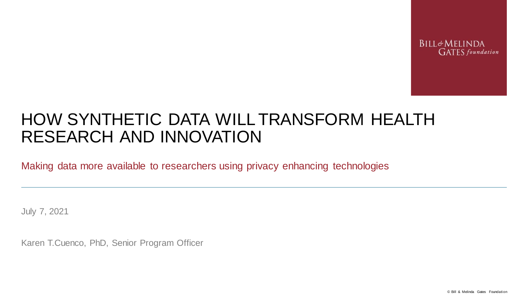**BILL&MELINDA GATES** foundation

# HOW SYNTHETIC DATA WILL TRANSFORM HEALTH RESEARCH AND INNOVATION

Making data more available to researchers using privacy enhancing technologies

July 7, 2021

Karen T.Cuenco, PhD, Senior Program Officer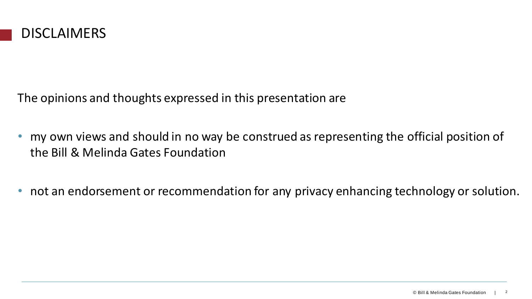

The opinions and thoughts expressed in this presentation are

- my own views and should in no way be construed as representing the official position of the Bill & Melinda Gates Foundation
- not an endorsement or recommendation for any privacy enhancing technology or solution.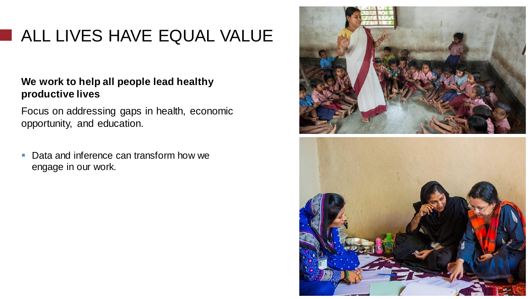# ALL LIVES HAVE EQUAL VALUE

#### **We work to help all people lead healthy productive lives**

Focus on addressing gaps in health, economic opportunity, and education.

■ Data and inference can transform how we engage in our work.

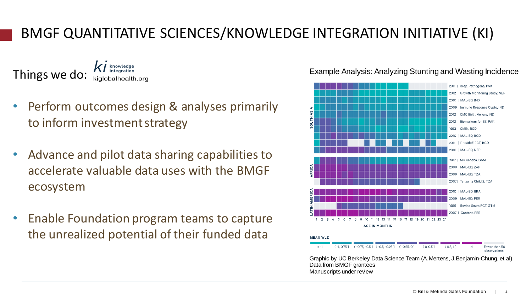### BMGF QUANTITATIVE SCIENCES/KNOWLEDGE INTEGRATION INITIATIVE (KI)

Things we do:

- Perform outcomes design & analyses primarily to inform investment strategy
- Advance and pilot data sharing capabilities to accelerate valuable data uses with the BMGF ecosystem
- Enable Foundation program teams to capture the unrealized potential of their funded data



Example Analysis: Analyzing Stunting and Wasting Incidence

Data from BMGF grantees Manuscripts under review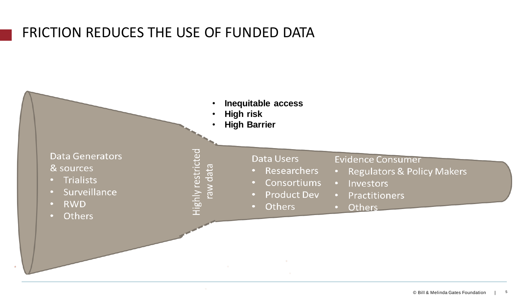### FRICTION REDUCES THE USE OF FUNDED DATA

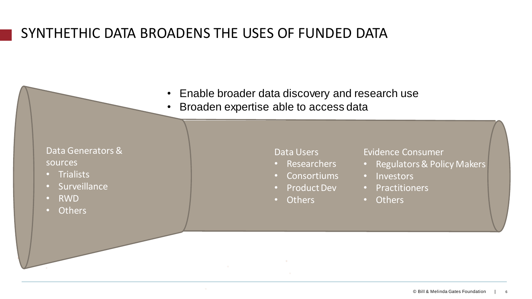### SYNTHETHIC DATA BROADENS THE USES OF FUNDED DATA

- Enable broader data discovery and research use
- Broaden expertise able to access data

Data Generators & sources

- Trialists
- Surveillance
- RWD
- Others

Data Users

- Researchers
- Consortiums
- Product Dev
- Others

Evidence Consumer

- Regulators & Policy Makers
- Investors
- Practitioners
- Others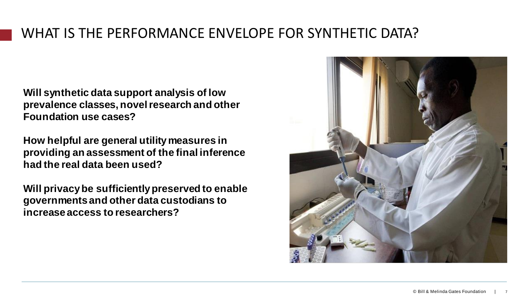### WHAT IS THE PERFORMANCE ENVELOPE FOR SYNTHETIC DATA?

**Will synthetic data support analysis of low prevalence classes, novel research and other Foundation use cases?** 

**How helpful are general utility measures in providing an assessment of the final inference had the real data been used?**

**Will privacy be sufficiently preserved to enable governments and other data custodians to increase access to researchers?**

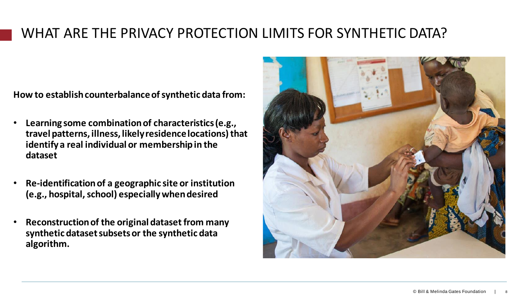### WHAT ARE THE PRIVACY PROTECTION LIMITS FOR SYNTHETIC DATA?

**How to establishcounterbalanceofsynthetic data from:**

- **Learning some combination of characteristics (e.g., travel patterns, illness, likely residence locations) that identify a real individual or membership in the dataset**
- **Re-identification of a geographic site or institution (e.g., hospital, school) especially when desired**
- **Reconstruction of the original dataset from many synthetic dataset subsets or the synthetic data algorithm.**

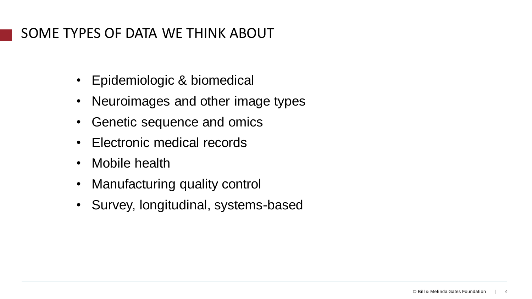### SOME TYPES OF DATA WE THINK ABOUT

- Epidemiologic & biomedical
- Neuroimages and other image types
- Genetic sequence and omics
- Electronic medical records
- Mobile health
- Manufacturing quality control
- Survey, longitudinal, systems-based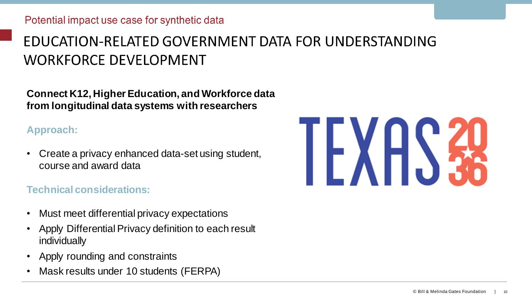# EDUCATION-RELATED GOVERNMENT DATA FOR UNDERSTANDING **WORKFORCE DEVELOPMENT**

**Connect K12, Higher Education, and Workforce data from longitudinal data systems with researchers**

#### **Approach:**

• Create a privacy enhanced data-set using student, course and award data

#### **Technical considerations:**

- Must meet differential privacy expectations
- Apply Differential Privacy definition to each result individually
- Apply rounding and constraints
- Mask results under 10 students (FERPA)

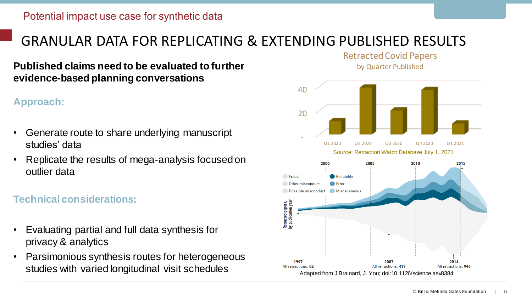### GRANULAR DATA FOR REPLICATING & EXTENDING PUBLISHED RESULTS

**Published claims need to be evaluated to further evidence-based planning conversations**

#### **Approach:**

- Generate route to share underlying manuscript studies' data
- Replicate the results of mega-analysis focused on outlier data

#### **Technical considerations:**

- Evaluating partial and full data synthesis for privacy & analytics
- Parsimonious synthesis routes for heterogeneous studies with varied longitudinal visit schedules



Retracted Covid Papers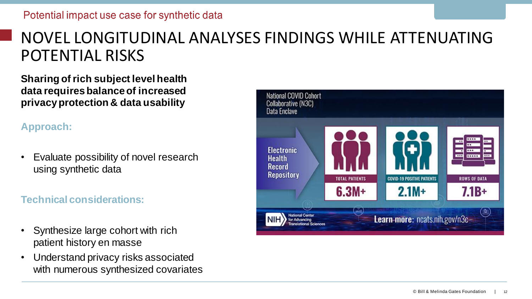# NOVEL LONGITUDINAL ANALYSES FINDINGS WHILE ATTENUATING POTENTIAL RISKS

**Sharing of rich subject level health data requires balance of increased privacy protection & data usability**

#### **Approach:**

• Evaluate possibility of novel research using synthetic data

#### **Technical considerations:**

- Synthesize large cohort with rich patient history en masse
- Understand privacy risks associated with numerous synthesized covariates

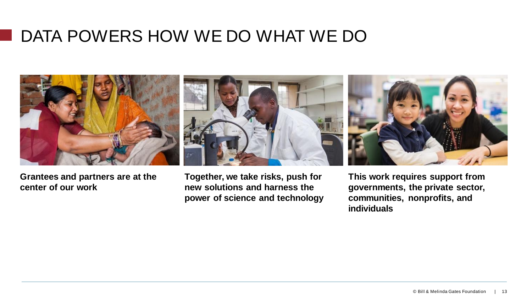# DATA POWERS HOW WE DO WHAT WE DO



**Grantees and partners are at the center of our work**

**Together, we take risks, push for new solutions and harness the power of science and technology** **This work requires support from governments, the private sector, communities, nonprofits, and individuals**